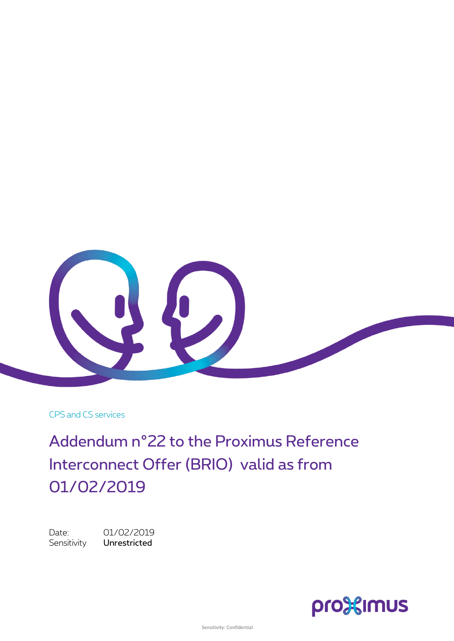

CPS and CS services

Addendum n°22 to the Proximus Reference Interconnect Offer (BRIO) valid as from 01/02/2019

Date: 01/02/2019 Sensitivity Unrestricted

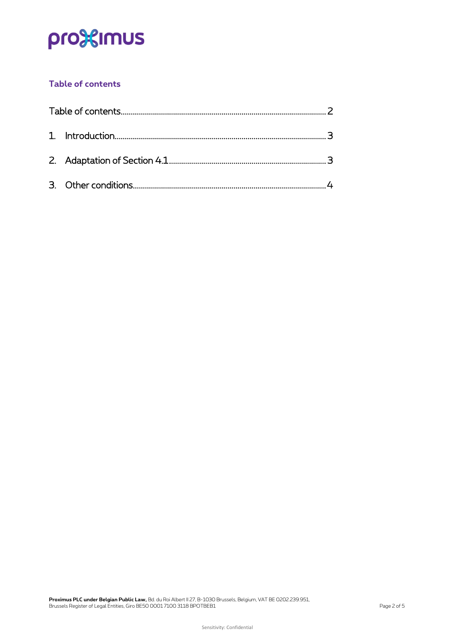## pro<sup>32</sup>imus

### <span id="page-1-0"></span>**Table of contents**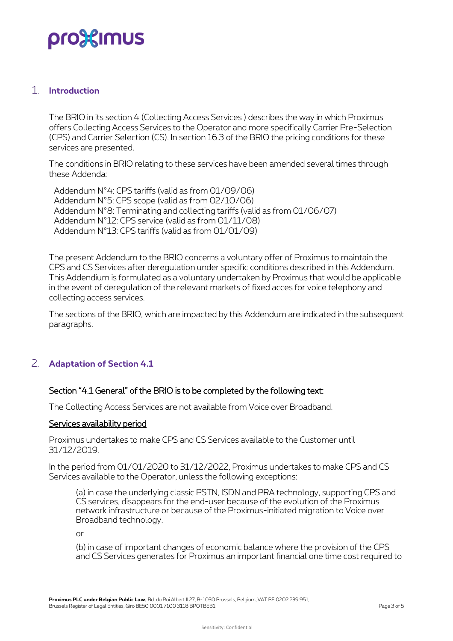## pro%imus

#### <span id="page-2-0"></span>1. **Introduction**

The BRIO in its section 4 (Collecting Access Services ) describes the way in which Proximus offers Collecting Access Services to the Operator and more specifically Carrier Pre-Selection (CPS) and Carrier Selection (CS). In section 16.3 of the BRIO the pricing conditions for these services are presented.

The conditions in BRIO relating to these services have been amended several times through these Addenda:

Addendum N°4: CPS tariffs (valid as from 01/09/06) Addendum N°5: CPS scope (valid as from 02/10/06) Addendum N°8: Terminating and collecting tariffs (valid as from 01/06/07) Addendum N°12: CPS service (valid as from 01/11/08) Addendum N°13: CPS tariffs (valid as from 01/01/09)

The present Addendum to the BRIO concerns a voluntary offer of Proximus to maintain the CPS and CS Services after deregulation under specific conditions described in this Addendum. This Addendium is formulated as a voluntary undertaken by Proximus that would be applicable in the event of deregulation of the relevant markets of fixed acces for voice telephony and collecting access services.

<span id="page-2-1"></span>The sections of the BRIO, which are impacted by this Addendum are indicated in the subsequent paragraphs.

### 2. **Adaptation of Section 4.1**

#### Section "4.1 General" of the BRIO is to be completed by the following text:

The Collecting Access Services are not available from Voice over Broadband.

#### Services availability period

Proximus undertakes to make CPS and CS Services available to the Customer until 31/12/2019.

In the period from 01/01/2020 to 31/12/2022, Proximus undertakes to make CPS and CS Services available to the Operator, unless the following exceptions:

(a) in case the underlying classic PSTN, ISDN and PRA technology, supporting CPS and CS services, disappears for the end-user because of the evolution of the Proximus network infrastructure or because of the Proximus-initiated migration to Voice over Broadband technology.

or

(b) in case of important changes of economic balance where the provision of the CPS and CS Services generates for Proximus an important financial one time cost required to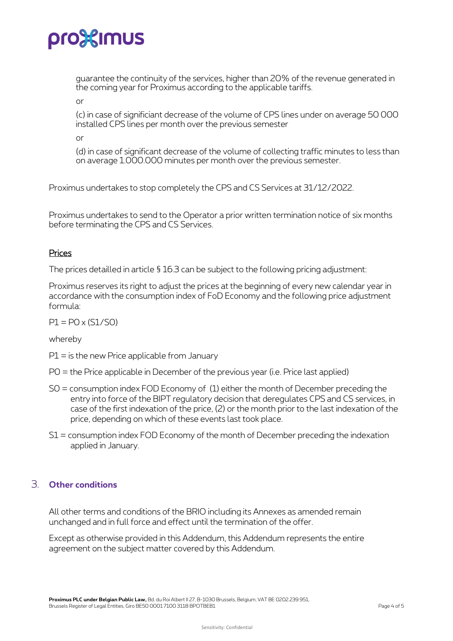## pro%imus

guarantee the continuity of the services, higher than 20% of the revenue generated in the coming year for Proximus according to the applicable tariffs.

or

(c) in case of significiant decrease of the volume of CPS lines under on average 50 000 installed CPS lines per month over the previous semester

or

(d) in case of significant decrease of the volume of collecting traffic minutes to less than on average 1.000.000 minutes per month over the previous semester.

Proximus undertakes to stop completely the CPS and CS Services at 31/12/2022.

Proximus undertakes to send to the Operator a prior written termination notice of six months before terminating the CPS and CS Services.

#### Prices

The prices detailled in article § 16.3 can be subject to the following pricing adjustment:

Proximus reserves its right to adjust the prices at the beginning of every new calendar year in accordance with the consumption index of FoD Economy and the following price adjustment formula:

 $P1 = PO \times (S1/SO)$ 

whereby

 $PI =$  is the new Price applicable from January

P0 = the Price applicable in December of the previous year (i.e. Price last applied)

- S0 = consumption index FOD Economy of (1) either the month of December preceding the entry into force of the BIPT regulatory decision that deregulates CPS and CS services, in case of the first indexation of the price, (2) or the month prior to the last indexation of the price, depending on which of these events last took place.
- <span id="page-3-0"></span>S1 = consumption index FOD Economy of the month of December preceding the indexation applied in January.

### 3. **Other conditions**

All other terms and conditions of the BRIO including its Annexes as amended remain unchanged and in full force and effect until the termination of the offer.

Except as otherwise provided in this Addendum, this Addendum represents the entire agreement on the subject matter covered by this Addendum.